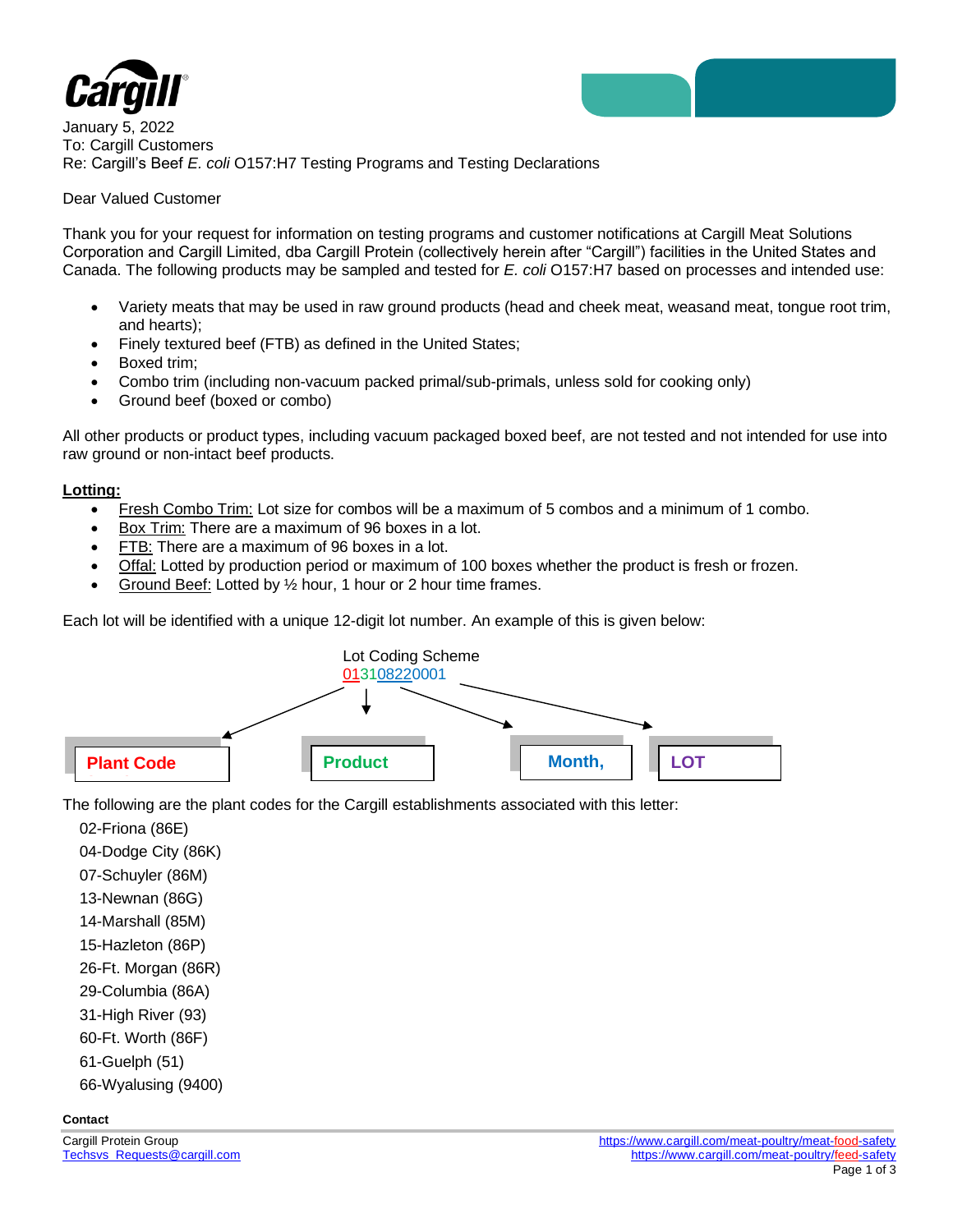



January 5, 2022 To: Cargill Customers Re: Cargill's Beef *E. coli* O157:H7 Testing Programs and Testing Declarations

## Dear Valued Customer

Thank you for your request for information on testing programs and customer notifications at Cargill Meat Solutions Corporation and Cargill Limited, dba Cargill Protein (collectively herein after "Cargill") facilities in the United States and Canada. The following products may be sampled and tested for *E. coli* O157:H7 based on processes and intended use:

- Variety meats that may be used in raw ground products (head and cheek meat, weasand meat, tongue root trim, and hearts);
- Finely textured beef (FTB) as defined in the United States;
- Boxed trim;
- Combo trim (including non-vacuum packed primal/sub-primals, unless sold for cooking only)
- Ground beef (boxed or combo)

All other products or product types, including vacuum packaged boxed beef, are not tested and not intended for use into raw ground or non-intact beef products.

### **Lotting:**

- Fresh Combo Trim: Lot size for combos will be a maximum of 5 combos and a minimum of 1 combo.
- Box Trim: There are a maximum of 96 boxes in a lot.
- FTB: There are a maximum of 96 boxes in a lot.
- Offal: Lotted by production period or maximum of 100 boxes whether the product is fresh or frozen.
- Ground Beef: Lotted by ½ hour, 1 hour or 2 hour time frames.

Each lot will be identified with a unique 12-digit lot number. An example of this is given below:



The following are the plant codes for the Cargill establishments associated with this letter:

02-Friona (86E) 04-Dodge City (86K) 07-Schuyler (86M) 13-Newnan (86G) 14-Marshall (85M) 15-Hazleton (86P) 26-Ft. Morgan (86R) 29-Columbia (86A) 31-High River (93) 60-Ft. Worth (86F) 61-Guelph (51) 66-Wyalusing (9400)

### **Contact**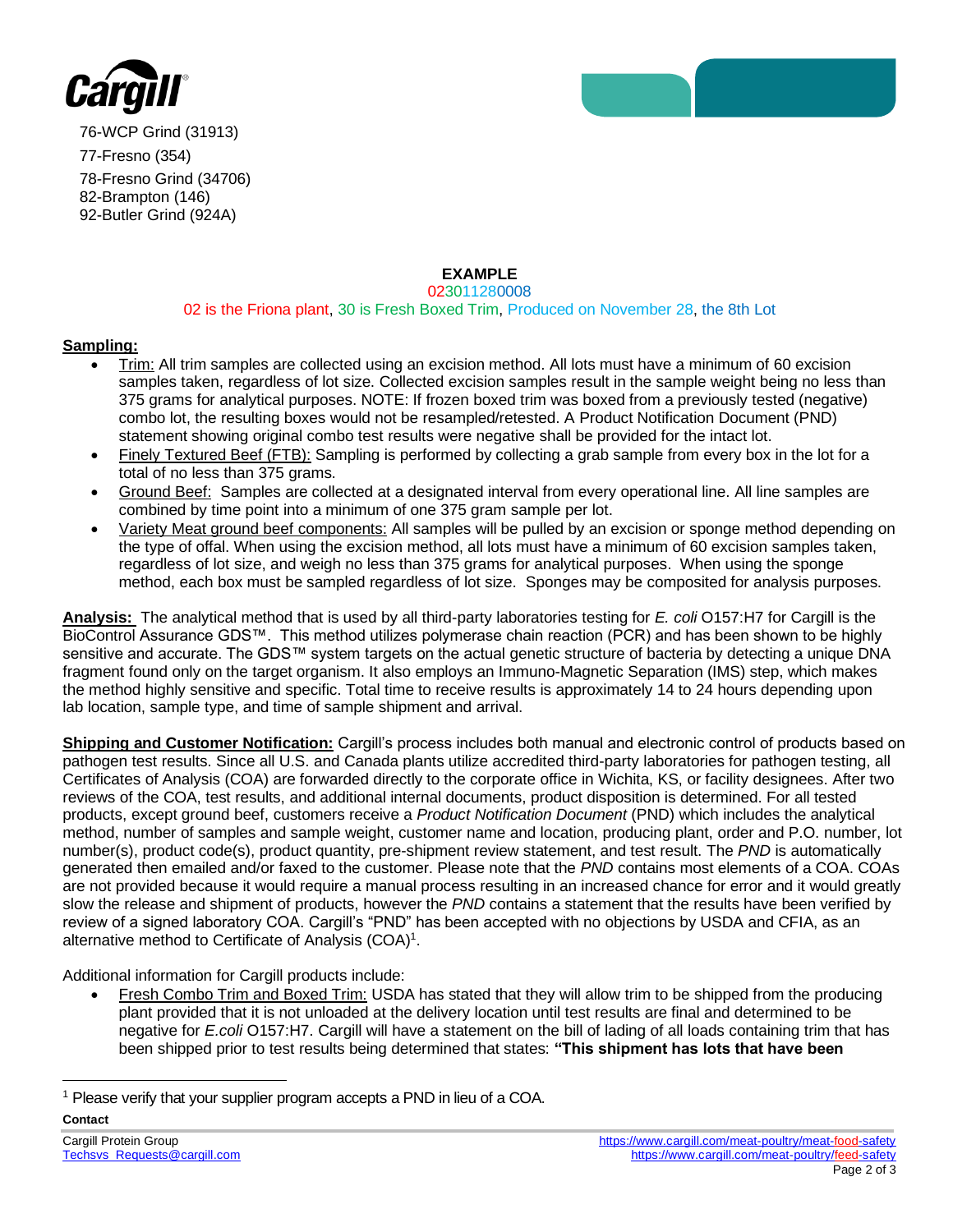



76-WCP Grind (31913) 77-Fresno (354) 78-Fresno Grind (34706) 82-Brampton (146) 92-Butler Grind (924A)

# **EXAMPLE**

#### 023011280008 02 is the Friona plant, 30 is Fresh Boxed Trim, Produced on November 28, the 8th Lot

## **Sampling:**

- Trim: All trim samples are collected using an excision method. All lots must have a minimum of 60 excision samples taken, regardless of lot size. Collected excision samples result in the sample weight being no less than 375 grams for analytical purposes. NOTE: If frozen boxed trim was boxed from a previously tested (negative) combo lot, the resulting boxes would not be resampled/retested. A Product Notification Document (PND) statement showing original combo test results were negative shall be provided for the intact lot.
- Finely Textured Beef (FTB): Sampling is performed by collecting a grab sample from every box in the lot for a total of no less than 375 grams.
- Ground Beef: Samples are collected at a designated interval from every operational line. All line samples are combined by time point into a minimum of one 375 gram sample per lot.
- Variety Meat ground beef components: All samples will be pulled by an excision or sponge method depending on the type of offal. When using the excision method, all lots must have a minimum of 60 excision samples taken, regardless of lot size, and weigh no less than 375 grams for analytical purposes. When using the sponge method, each box must be sampled regardless of lot size. Sponges may be composited for analysis purposes.

**Analysis:** The analytical method that is used by all third-party laboratories testing for *E. coli* O157:H7 for Cargill is the BioControl Assurance GDS™. This method utilizes polymerase chain reaction (PCR) and has been shown to be highly sensitive and accurate. The GDS™ system targets on the actual genetic structure of bacteria by detecting a unique DNA fragment found only on the target organism. It also employs an Immuno-Magnetic Separation (IMS) step, which makes the method highly sensitive and specific. Total time to receive results is approximately 14 to 24 hours depending upon lab location, sample type, and time of sample shipment and arrival.

**Shipping and Customer Notification:** Cargill's process includes both manual and electronic control of products based on pathogen test results. Since all U.S. and Canada plants utilize accredited third-party laboratories for pathogen testing, all Certificates of Analysis (COA) are forwarded directly to the corporate office in Wichita, KS, or facility designees. After two reviews of the COA, test results, and additional internal documents, product disposition is determined. For all tested products, except ground beef, customers receive a *Product Notification Document* (PND) which includes the analytical method, number of samples and sample weight, customer name and location, producing plant, order and P.O. number, lot number(s), product code(s), product quantity, pre-shipment review statement, and test result. The *PND* is automatically generated then emailed and/or faxed to the customer. Please note that the *PND* contains most elements of a COA. COAs are not provided because it would require a manual process resulting in an increased chance for error and it would greatly slow the release and shipment of products, however the *PND* contains a statement that the results have been verified by review of a signed laboratory COA. Cargill's "PND" has been accepted with no objections by USDA and CFIA, as an alternative method to Certificate of Analysis (COA)<sup>1</sup>.

Additional information for Cargill products include:

• Fresh Combo Trim and Boxed Trim: USDA has stated that they will allow trim to be shipped from the producing plant provided that it is not unloaded at the delivery location until test results are final and determined to be negative for *E.coli* O157:H7. Cargill will have a statement on the bill of lading of all loads containing trim that has been shipped prior to test results being determined that states: **"This shipment has lots that have been** 

<sup>1</sup> Please verify that your supplier program accepts a PND in lieu of a COA.